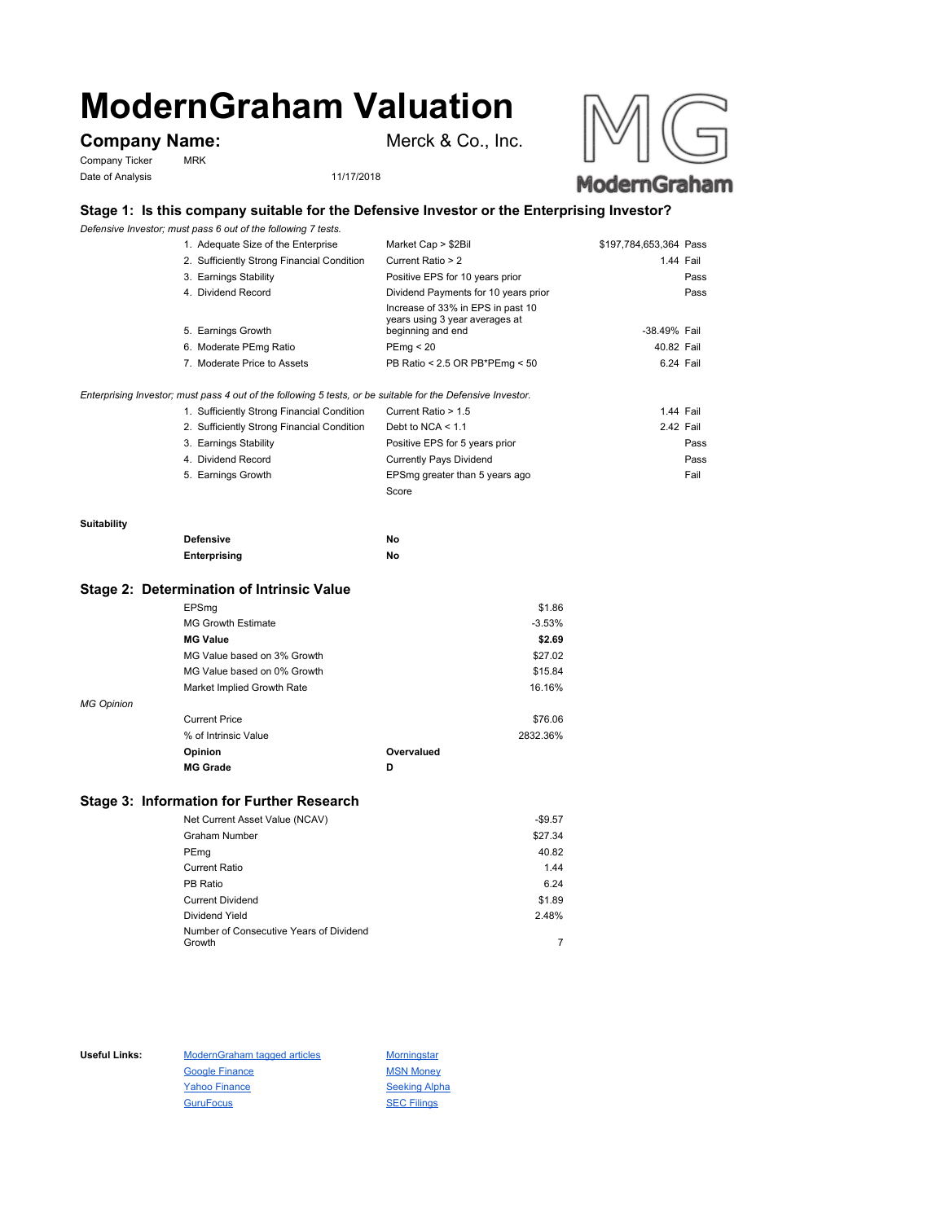# **ModernGraham Valuation**

## **Company Name:** Merck & Co., Inc.

Company Ticker MRK Date of Analysis 11/17/2018





### **Stage 1: Is this company suitable for the Defensive Investor or the Enterprising Investor?**

*Defensive Investor; must pass 6 out of the following 7 tests.*

|  | 1. Adequate Size of the Enterprise                                                         | Market Cap > \$2Bil                                                                      | \$197,784,653,364 Pass |      |
|--|--------------------------------------------------------------------------------------------|------------------------------------------------------------------------------------------|------------------------|------|
|  | 2. Sufficiently Strong Financial Condition                                                 | Current Ratio > 2                                                                        | 1.44 Fail              |      |
|  | 3. Earnings Stability                                                                      | Positive EPS for 10 years prior                                                          |                        | Pass |
|  | 4. Dividend Record                                                                         | Dividend Payments for 10 years prior                                                     |                        | Pass |
|  | 5. Earnings Growth                                                                         | Increase of 33% in EPS in past 10<br>years using 3 year averages at<br>beginning and end | -38.49% Fail           |      |
|  | 6. Moderate PEmg Ratio                                                                     | PEmg < 20                                                                                | 40.82 Fail             |      |
|  | 7. Moderate Price to Assets                                                                | PB Ratio < 2.5 OR PB*PEmg < 50                                                           | 6.24 Fail              |      |
|  | stor: must pass 4 out of the following 5 tests, or be suitable for the Defensive Investor. |                                                                                          |                        |      |
|  |                                                                                            |                                                                                          |                        |      |

| Enterprising Investor; must pass 4 out of the following 5 tests, or be suitable for the Defensive Investor. |                     |           |  |
|-------------------------------------------------------------------------------------------------------------|---------------------|-----------|--|
| 1. Sufficiently Strong Financial Condition                                                                  | Current Ratio > 1.5 | 1.44 Fail |  |

| 2. Sufficiently Strong Financial Condition | Debt to NCA $<$ 1.1            | 2.42 Fail |
|--------------------------------------------|--------------------------------|-----------|
| 3. Earnings Stability                      | Positive EPS for 5 years prior | Pass      |
| 4. Dividend Record                         | <b>Currently Pays Dividend</b> | Pass      |
| 5. Earnings Growth                         | EPSmg greater than 5 years ago | Fail      |
|                                            | Score                          |           |

#### **Suitability**

| <b>Defensive</b> | No |
|------------------|----|
| Enterprising     | No |

#### **Stage 2: Determination of Intrinsic Value**

|                   | EPSmg                       |            | \$1.86   |
|-------------------|-----------------------------|------------|----------|
|                   | <b>MG Growth Estimate</b>   |            | $-3.53%$ |
|                   | <b>MG Value</b>             |            | \$2.69   |
|                   | MG Value based on 3% Growth |            | \$27.02  |
|                   | MG Value based on 0% Growth |            | \$15.84  |
|                   | Market Implied Growth Rate  |            | 16.16%   |
| <b>MG Opinion</b> |                             |            |          |
|                   | <b>Current Price</b>        |            | \$76.06  |
|                   | % of Intrinsic Value        |            | 2832.36% |
|                   | Opinion                     | Overvalued |          |
|                   | <b>MG Grade</b>             | D          |          |
|                   |                             |            |          |

#### **Stage 3: Information for Further Research**

| Net Current Asset Value (NCAV)          | $-$9.57$ |
|-----------------------------------------|----------|
| Graham Number                           | \$27.34  |
| PEmg                                    | 40.82    |
| Current Ratio                           | 1.44     |
| PB Ratio                                | 6.24     |
| <b>Current Dividend</b>                 | \$1.89   |
| Dividend Yield                          | 2.48%    |
| Number of Consecutive Years of Dividend |          |
| Growth                                  |          |

Useful Links: ModernGraham tagged articles Morningstar Google Finance MSN Money Yahoo Finance Seeking Alpha GuruFocus SEC Filings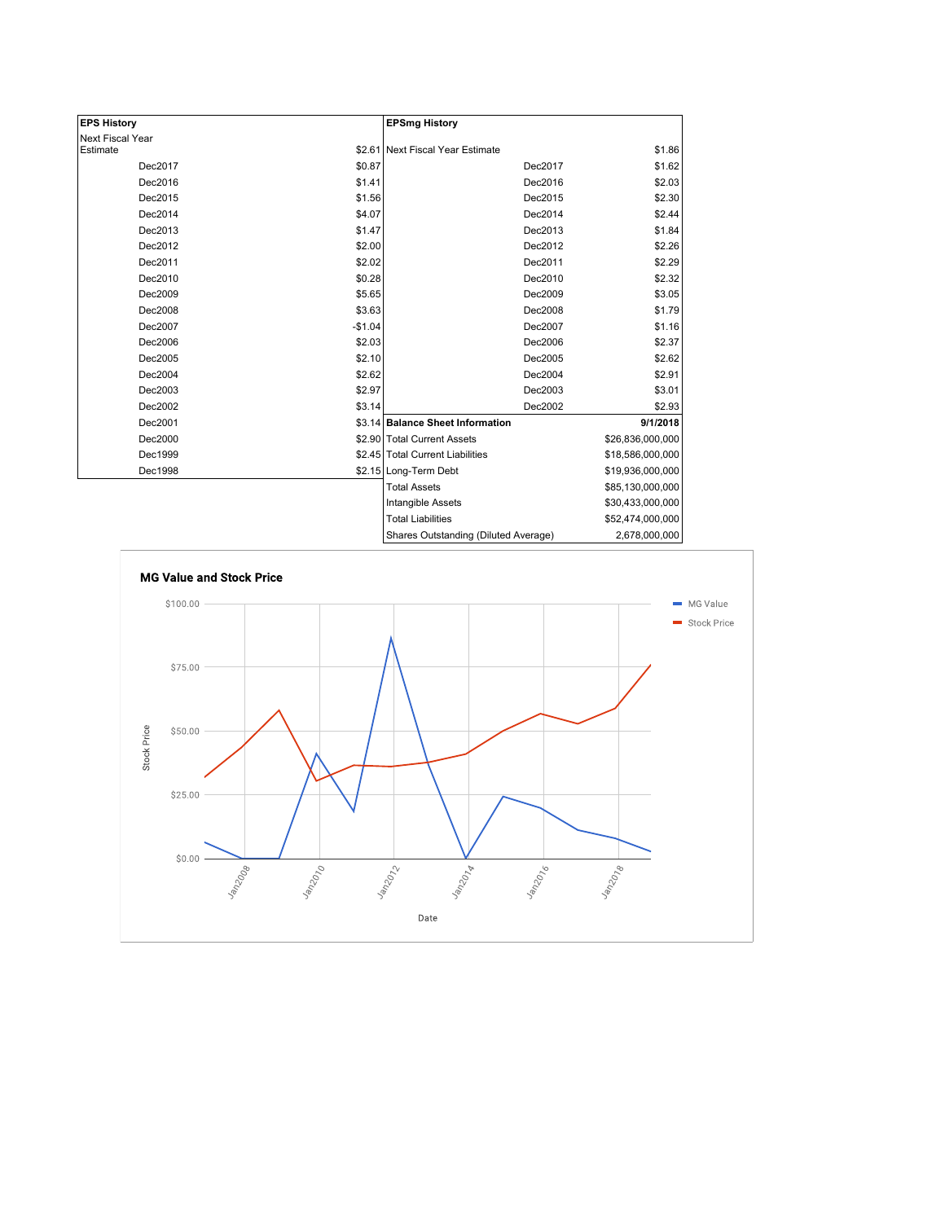| <b>EPS History</b> |          | <b>EPSmg History</b>                 |                  |
|--------------------|----------|--------------------------------------|------------------|
| Next Fiscal Year   |          |                                      |                  |
| Estimate           |          | \$2.61 Next Fiscal Year Estimate     | \$1.86           |
| Dec2017            | \$0.87   | Dec2017                              | \$1.62           |
| Dec2016            | \$1.41   | Dec2016                              | \$2.03           |
| Dec2015            | \$1.56   | Dec2015                              | \$2.30           |
| Dec2014            | \$4.07   | Dec2014                              | \$2.44           |
| Dec2013            | \$1.47   | Dec2013                              | \$1.84           |
| Dec2012            | \$2.00   | Dec2012                              | \$2.26           |
| Dec2011            | \$2.02   | Dec2011                              | \$2.29           |
| Dec2010            | \$0.28   | Dec2010                              | \$2.32           |
| Dec2009            | \$5.65   | Dec2009                              | \$3.05           |
| Dec2008            | \$3.63   | Dec2008                              | \$1.79           |
| Dec2007            | $-$1.04$ | Dec2007                              | \$1.16           |
| Dec2006            | \$2.03   | Dec2006                              | \$2.37           |
| Dec2005            | \$2.10   | Dec2005                              | \$2.62           |
| Dec2004            | \$2.62   | Dec2004                              | \$2.91           |
| Dec2003            | \$2.97   | Dec2003                              | \$3.01           |
| Dec2002            | \$3.14   | Dec2002                              | \$2.93           |
| Dec2001            |          | \$3.14 Balance Sheet Information     | 9/1/2018         |
| Dec2000            |          | \$2.90 Total Current Assets          | \$26,836,000,000 |
| Dec1999            |          | \$2.45 Total Current Liabilities     | \$18,586,000,000 |
| Dec1998            |          | \$2.15 Long-Term Debt                | \$19,936,000,000 |
|                    |          | <b>Total Assets</b>                  | \$85,130,000,000 |
|                    |          | Intangible Assets                    | \$30,433,000,000 |
|                    |          | <b>Total Liabilities</b>             | \$52,474,000,000 |
|                    |          | Charge Outetanding (Diluted Average) | 2.678.000.000    |